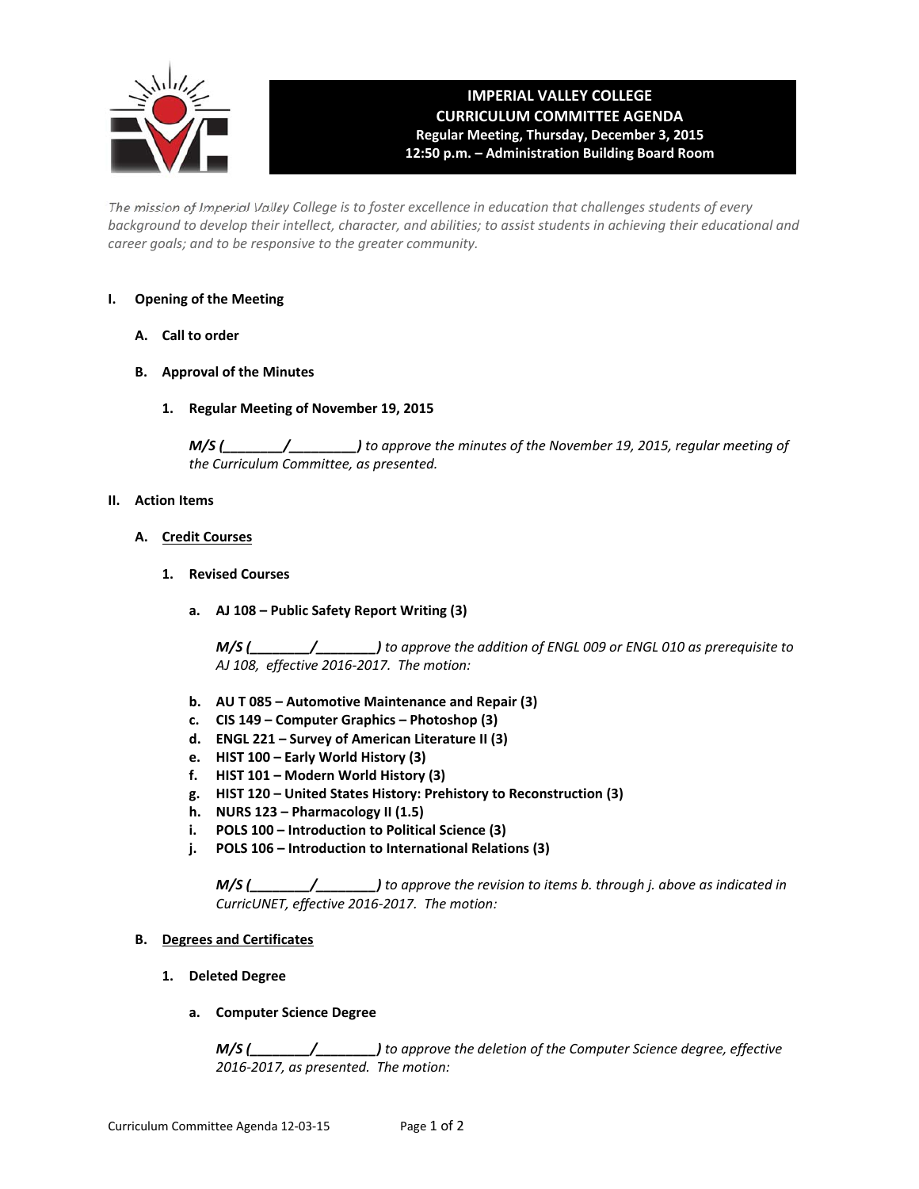

# **IMPERIAL VALLEY COLLEGE CURRICULUM COMMITTEE AGENDA Regular Meeting, Thursday, December 3, 2015 12:50 p.m. – Administration Building Board Room**

The mission of Imperial Valley College is to foster excellence in education that challenges students of every background to develop their intellect, character, and abilities; to assist students in achieving their educational and *career goals; and to be responsive to the greater community.*

## **I. Opening of the Meeting**

- **A. Call to order**
- **B. Approval of the Minutes**
	- **1. Regular Meeting of November 19, 2015**

*M/S (\_\_\_\_\_\_\_\_/\_\_\_\_\_\_\_\_\_) to approve the minutes of the November 19, 2015, regular meeting of the Curriculum Committee, as presented.* 

## **II. Action Items**

- **A. Credit Courses**
	- **1. Revised Courses**
		- **a. AJ 108 – Public Safety Report Writing (3)**

*M/S (\_\_\_\_\_\_\_\_/\_\_\_\_\_\_\_\_) to approve the addition of ENGL 009 or ENGL 010 as prerequisite to AJ 108, effective 2016‐2017. The motion:*

- **b. AU T 085 – Automotive Maintenance and Repair (3)**
- **c. CIS 149 – Computer Graphics – Photoshop (3)**
- **d. ENGL 221 – Survey of American Literature II (3)**
- **e. HIST 100 – Early World History (3)**
- **f. HIST 101 – Modern World History (3)**
- **g. HIST 120 – United States History: Prehistory to Reconstruction (3)**
- **h. NURS 123 – Pharmacology II (1.5)**
- **i. POLS 100 – Introduction to Political Science (3)**
- **j. POLS 106 – Introduction to International Relations (3)**

*M/S (\_\_\_\_\_\_\_\_/\_\_\_\_\_\_\_\_) to approve the revision to items b. through j. above as indicated in CurricUNET, effective 2016‐2017. The motion:*

## **B. Degrees and Certificates**

**1. Deleted Degree**

## **a. Computer Science Degree**

*M/S (\_\_\_\_\_\_\_\_/\_\_\_\_\_\_\_\_) to approve the deletion of the Computer Science degree, effective 2016‐2017, as presented. The motion:*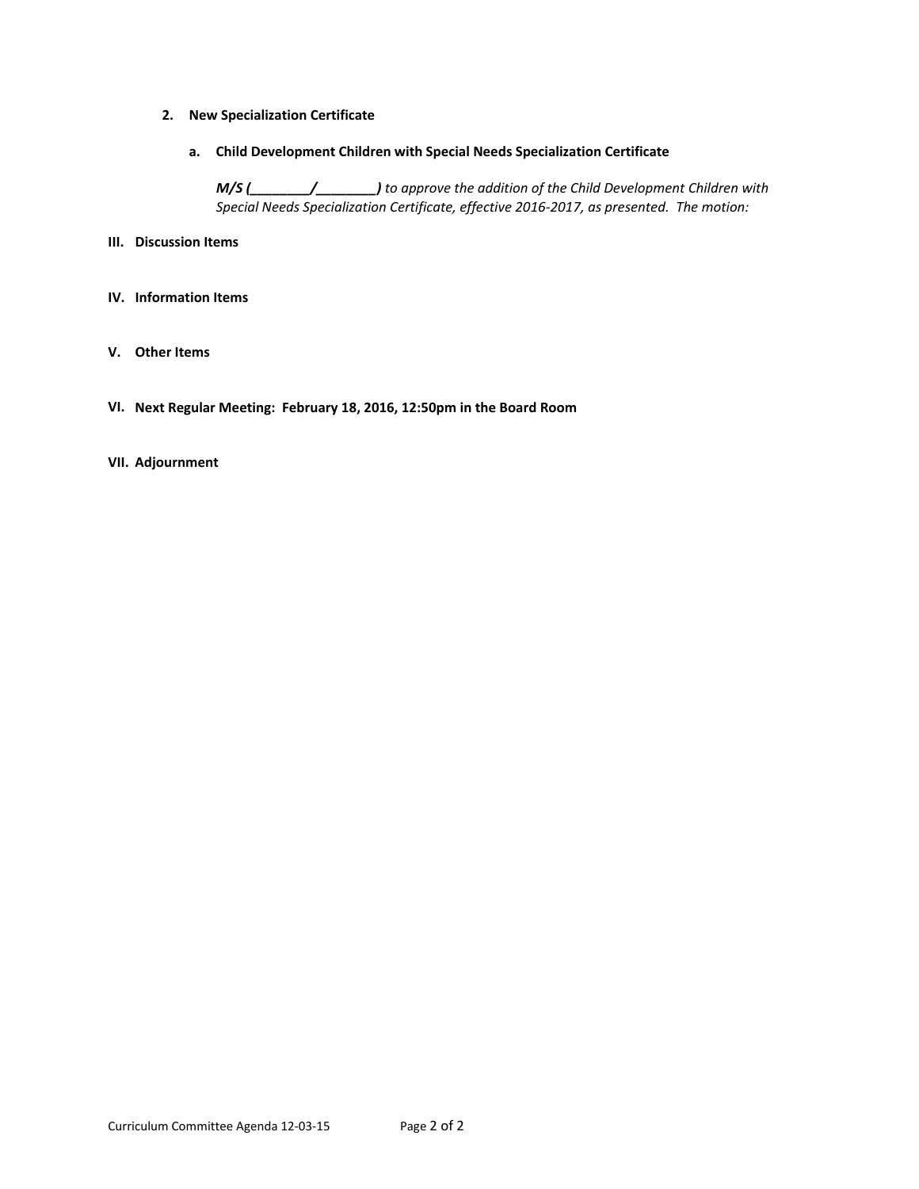- **2. New Specialization Certificate**
	- **a. Child Development Children with Special Needs Specialization Certificate**

*M/S (\_\_\_\_\_\_\_\_/\_\_\_\_\_\_\_\_) to approve the addition of the Child Development Children with Special Needs Specialization Certificate, effective 2016‐2017, as presented. The motion:*

- **III. Discussion Items**
- **IV. Information Items**
- **V. Other Items**
- **VI. Next Regular Meeting: February 18, 2016, 12:50pm in the Board Room**

# **VII. Adjournment**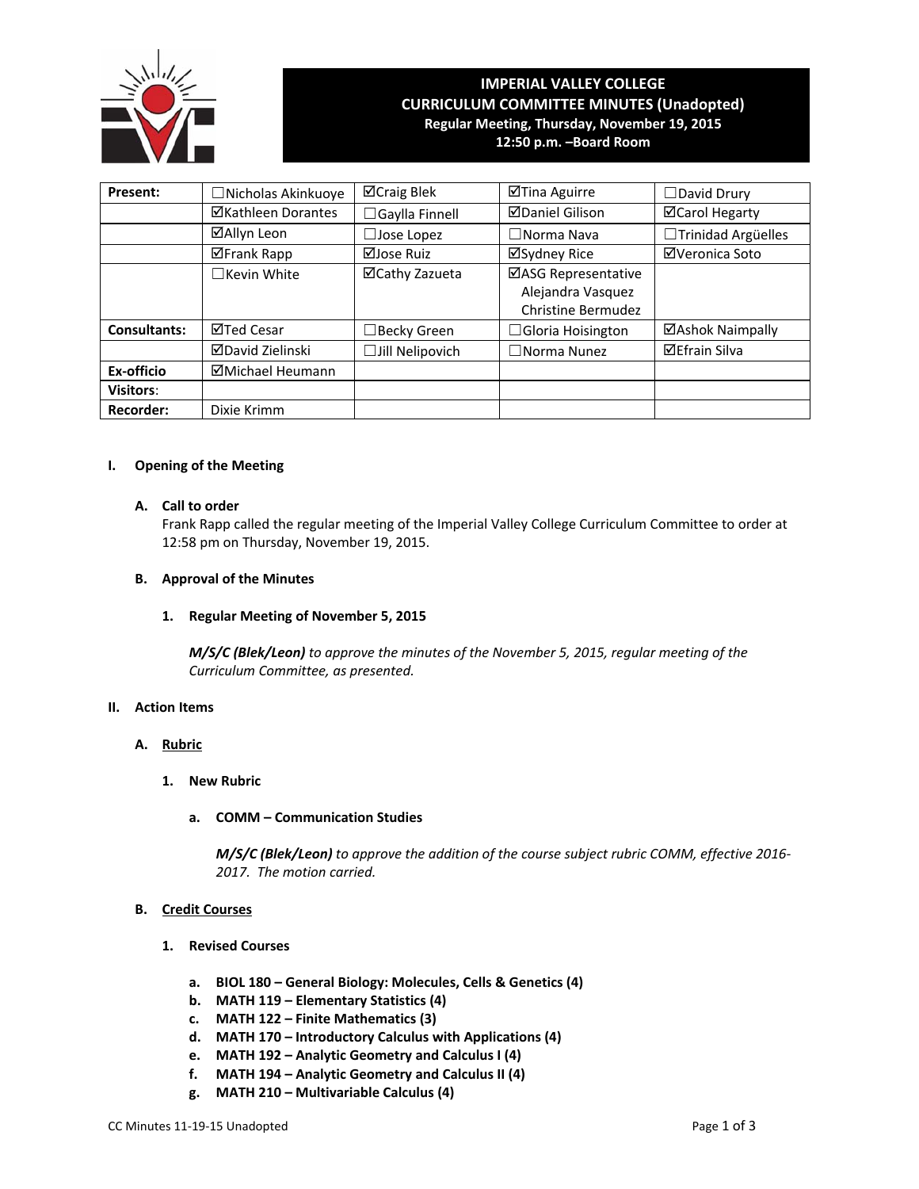

# **IMPERIAL VALLEY COLLEGE CURRICULUM COMMITTEE MINUTES (Unadopted) Regular Meeting, Thursday, November 19, 2015**

**12:50 p.m. –Board Room**

| Present:            | □Nicholas Akinkuoye       | ⊠Craig Blek           | ⊠Tina Aguirre             | □David Drury          |  |
|---------------------|---------------------------|-----------------------|---------------------------|-----------------------|--|
|                     | <b>⊠Kathleen Dorantes</b> | $\Box$ Gaylla Finnell | <b>ØDaniel Gilison</b>    | <b>⊠Carol Hegarty</b> |  |
|                     | ⊠Allyn Leon               | $\Box$ Jose Lopez     | $\Box$ Norma Nava         | □Trinidad Argüelles   |  |
|                     | <b>⊠Frank Rapp</b>        | ⊠Jose Ruiz            | ⊠Sydney Rice              | ⊠Veronica Soto        |  |
|                     | $\Box$ Kevin White        | ⊠Cathy Zazueta        | ⊠ASG Representative       |                       |  |
|                     |                           |                       | Alejandra Vasquez         |                       |  |
|                     |                           |                       | <b>Christine Bermudez</b> |                       |  |
| <b>Consultants:</b> | ⊠Ted Cesar                | Becky Green           | $\Box$ Gloria Hoisington  | ⊠Ashok Naimpally      |  |
|                     | <b>⊠David Zielinski</b>   | □Jill Nelipovich      | $\Box$ Norma Nunez        | <b>⊠Efrain Silva</b>  |  |
| Ex-officio          | ⊠Michael Heumann          |                       |                           |                       |  |
| <b>Visitors:</b>    |                           |                       |                           |                       |  |
| <b>Recorder:</b>    | Dixie Krimm               |                       |                           |                       |  |

## **I. Opening of the Meeting**

## **A. Call to order**

Frank Rapp called the regular meeting of the Imperial Valley College Curriculum Committee to order at 12:58 pm on Thursday, November 19, 2015.

# **B. Approval of the Minutes**

# **1. Regular Meeting of November 5, 2015**

*M/S/C (Blek/Leon) to approve the minutes of the November 5, 2015, regular meeting of the Curriculum Committee, as presented.* 

## **II. Action Items**

## **A. Rubric**

- **1. New Rubric**
	- **a. COMM – Communication Studies**

*M/S/C (Blek/Leon) to approve the addition of the course subject rubric COMM, effective 2016‐ 2017. The motion carried.*

## **B. Credit Courses**

- **1. Revised Courses**
	- **a. BIOL 180 – General Biology: Molecules, Cells & Genetics (4)**
	- **b. MATH 119 – Elementary Statistics (4)**
	- **c. MATH 122 – Finite Mathematics (3)**
	- **d. MATH 170 – Introductory Calculus with Applications (4)**
	- **e. MATH 192 – Analytic Geometry and Calculus I (4)**
	- **f. MATH 194 – Analytic Geometry and Calculus II (4)**
	- **g. MATH 210 – Multivariable Calculus (4)**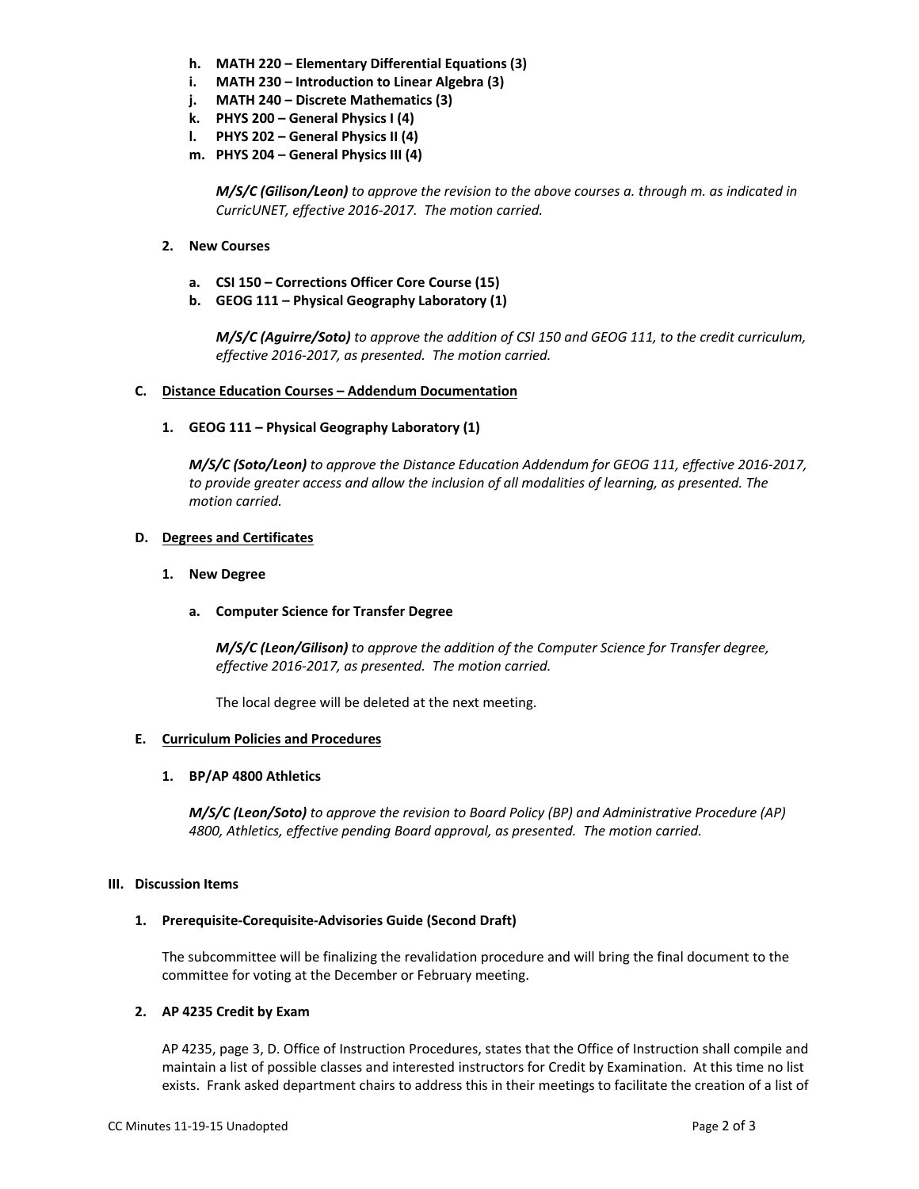- **h. MATH 220 – Elementary Differential Equations (3)**
- **i. MATH 230 – Introduction to Linear Algebra (3)**
- **j. MATH 240 – Discrete Mathematics (3)**
- **k. PHYS 200 – General Physics I (4)**
- **l. PHYS 202 – General Physics II (4)**
- **m. PHYS 204 – General Physics III (4)**

*M/S/C (Gilison/Leon) to approve the revision to the above courses a. through m. as indicated in CurricUNET, effective 2016‐2017. The motion carried.*

- **2. New Courses**
	- **a. CSI 150 – Corrections Officer Core Course (15)**
	- **b. GEOG 111 – Physical Geography Laboratory (1)**

*M/S/C (Aguirre/Soto) to approve the addition of CSI 150 and GEOG 111, to the credit curriculum, effective 2016‐2017, as presented. The motion carried.*

## **C. Distance Education Courses – Addendum Documentation**

**1. GEOG 111 – Physical Geography Laboratory (1)**

*M/S/C (Soto/Leon) to approve the Distance Education Addendum for GEOG 111, effective 2016‐2017, to provide greater access and allow the inclusion of all modalities of learning, as presented. The motion carried.*

## **D. Degrees and Certificates**

- **1. New Degree**
	- **a. Computer Science for Transfer Degree**

*M/S/C (Leon/Gilison) to approve the addition of the Computer Science for Transfer degree, effective 2016‐2017, as presented. The motion carried.*

The local degree will be deleted at the next meeting.

# **E. Curriculum Policies and Procedures**

# **1. BP/AP 4800 Athletics**

*M/S/C (Leon/Soto) to approve the revision to Board Policy (BP) and Administrative Procedure (AP) 4800, Athletics, effective pending Board approval, as presented. The motion carried.*

## **III. Discussion Items**

# **1. Prerequisite‐Corequisite‐Advisories Guide (Second Draft)**

The subcommittee will be finalizing the revalidation procedure and will bring the final document to the committee for voting at the December or February meeting.

# **2. AP 4235 Credit by Exam**

AP 4235, page 3, D. Office of Instruction Procedures, states that the Office of Instruction shall compile and maintain a list of possible classes and interested instructors for Credit by Examination. At this time no list exists. Frank asked department chairs to address this in their meetings to facilitate the creation of a list of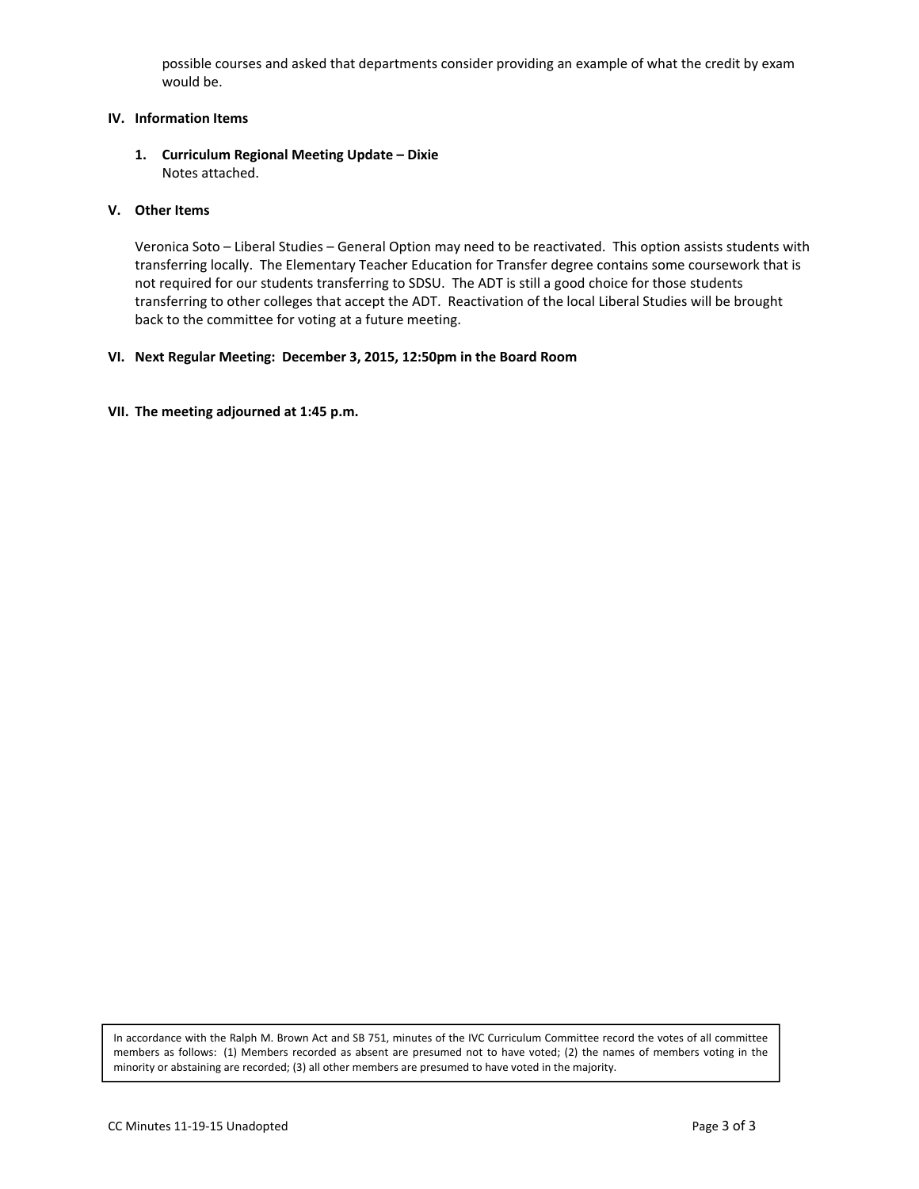possible courses and asked that departments consider providing an example of what the credit by exam would be.

# **IV. Information Items**

**1. Curriculum Regional Meeting Update – Dixie** Notes attached.

## **V. Other Items**

Veronica Soto – Liberal Studies – General Option may need to be reactivated. This option assists students with transferring locally. The Elementary Teacher Education for Transfer degree contains some coursework that is not required for our students transferring to SDSU. The ADT is still a good choice for those students transferring to other colleges that accept the ADT. Reactivation of the local Liberal Studies will be brought back to the committee for voting at a future meeting.

## **VI. Next Regular Meeting: December 3, 2015, 12:50pm in the Board Room**

## **VII. The meeting adjourned at 1:45 p.m.**

In accordance with the Ralph M. Brown Act and SB 751, minutes of the IVC Curriculum Committee record the votes of all committee members as follows: (1) Members recorded as absent are presumed not to have voted; (2) the names of members voting in the minority or abstaining are recorded; (3) all other members are presumed to have voted in the majority.